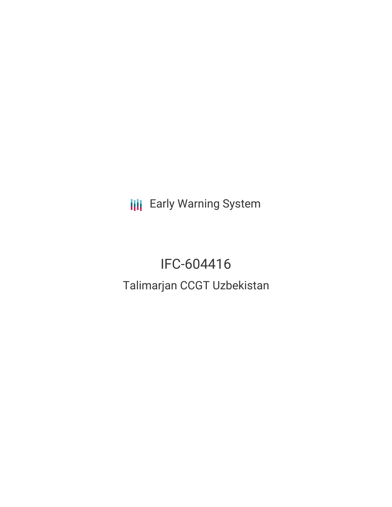**III** Early Warning System

# IFC-604416

# Talimarjan CCGT Uzbekistan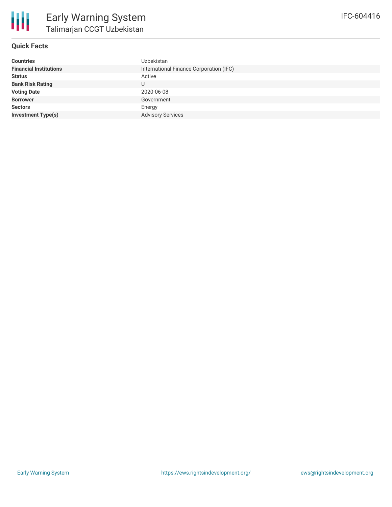

### **Quick Facts**

| <b>Countries</b>              | <b>Uzbekistan</b>                       |
|-------------------------------|-----------------------------------------|
| <b>Financial Institutions</b> | International Finance Corporation (IFC) |
| <b>Status</b>                 | Active                                  |
| <b>Bank Risk Rating</b>       | U                                       |
| <b>Voting Date</b>            | 2020-06-08                              |
| <b>Borrower</b>               | Government                              |
| <b>Sectors</b>                | Energy                                  |
| <b>Investment Type(s)</b>     | <b>Advisory Services</b>                |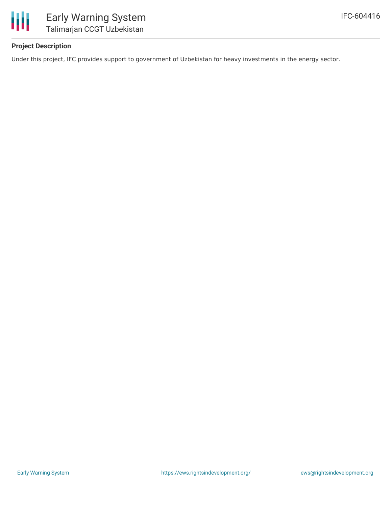

## **Project Description**

Under this project, IFC provides support to government of Uzbekistan for heavy investments in the energy sector.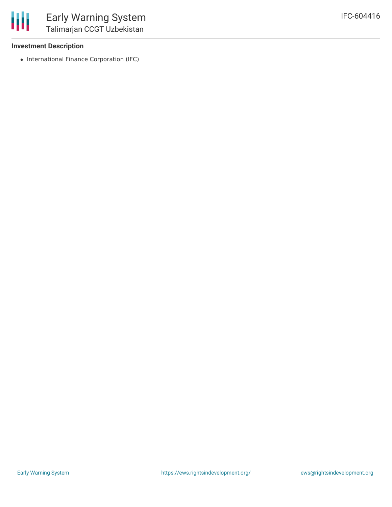#### **Investment Description**

• International Finance Corporation (IFC)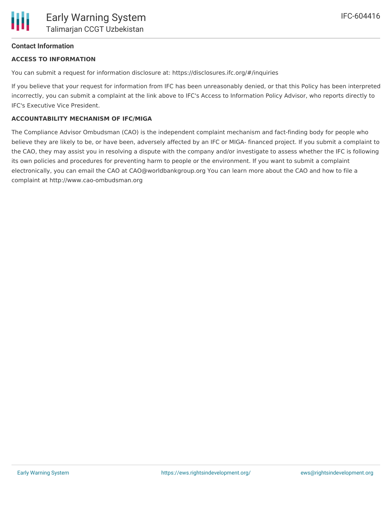#### **Contact Information**

#### **ACCESS TO INFORMATION**

You can submit a request for information disclosure at: https://disclosures.ifc.org/#/inquiries

If you believe that your request for information from IFC has been unreasonably denied, or that this Policy has been interpreted incorrectly, you can submit a complaint at the link above to IFC's Access to Information Policy Advisor, who reports directly to IFC's Executive Vice President.

#### **ACCOUNTABILITY MECHANISM OF IFC/MIGA**

The Compliance Advisor Ombudsman (CAO) is the independent complaint mechanism and fact-finding body for people who believe they are likely to be, or have been, adversely affected by an IFC or MIGA- financed project. If you submit a complaint to the CAO, they may assist you in resolving a dispute with the company and/or investigate to assess whether the IFC is following its own policies and procedures for preventing harm to people or the environment. If you want to submit a complaint electronically, you can email the CAO at CAO@worldbankgroup.org You can learn more about the CAO and how to file a complaint at http://www.cao-ombudsman.org